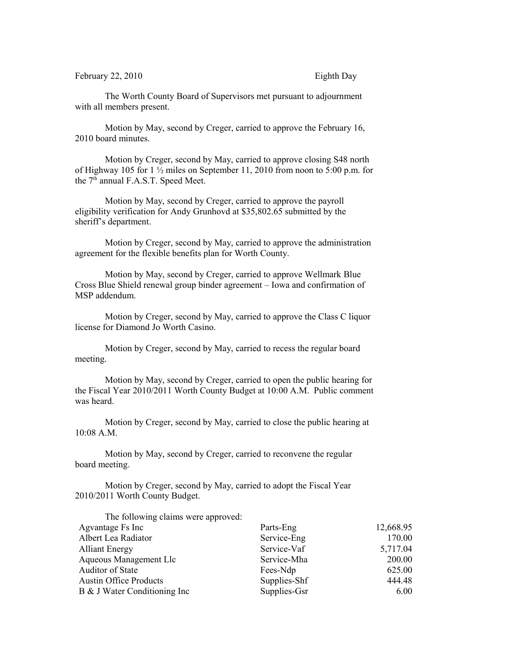February 22, 2010 Eighth Day

The Worth County Board of Supervisors met pursuant to adjournment with all members present.

Motion by May, second by Creger, carried to approve the February 16, 2010 board minutes.

Motion by Creger, second by May, carried to approve closing S48 north of Highway 105 for 1 ½ miles on September 11, 2010 from noon to 5:00 p.m. for the  $7<sup>th</sup>$  annual F.A.S.T. Speed Meet.

Motion by May, second by Creger, carried to approve the payroll eligibility verification for Andy Grunhovd at \$35,802.65 submitted by the sheriff's department.

Motion by Creger, second by May, carried to approve the administration agreement for the flexible benefits plan for Worth County.

Motion by May, second by Creger, carried to approve Wellmark Blue Cross Blue Shield renewal group binder agreement – Iowa and confirmation of MSP addendum.

Motion by Creger, second by May, carried to approve the Class C liquor license for Diamond Jo Worth Casino.

Motion by Creger, second by May, carried to recess the regular board meeting.

Motion by May, second by Creger, carried to open the public hearing for the Fiscal Year 2010/2011 Worth County Budget at 10:00 A.M. Public comment was heard.

Motion by Creger, second by May, carried to close the public hearing at 10:08 A.M.

Motion by May, second by Creger, carried to reconvene the regular board meeting.

Motion by Creger, second by May, carried to adopt the Fiscal Year 2010/2011 Worth County Budget.

| The following claims were approved: |              |           |
|-------------------------------------|--------------|-----------|
| Agvantage Fs Inc                    | Parts-Eng    | 12,668.95 |
| Albert Lea Radiator                 | Service-Eng  | 170.00    |
| <b>Alliant Energy</b>               | Service-Vaf  | 5,717.04  |
| Aqueous Management Llc              | Service-Mha  | 200.00    |
| Auditor of State                    | Fees-Ndp     | 625.00    |
| <b>Austin Office Products</b>       | Supplies-Shf | 444.48    |
| B & J Water Conditioning Inc        | Supplies-Gsr | 6.00      |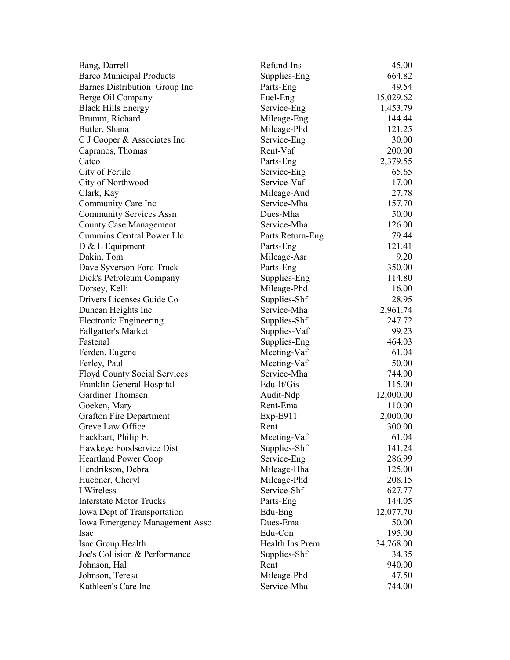| Bang, Darrell                                                    | Refund-Ins       | 45.00     |
|------------------------------------------------------------------|------------------|-----------|
| <b>Barco Municipal Products</b>                                  | Supplies-Eng     | 664.82    |
| Barnes Distribution Group Inc                                    | Parts-Eng        | 49.54     |
| Berge Oil Company                                                | Fuel-Eng         | 15,029.62 |
| <b>Black Hills Energy</b>                                        | Service-Eng      | 1,453.79  |
| Brumm, Richard                                                   | Mileage-Eng      | 144.44    |
| Butler, Shana                                                    | Mileage-Phd      | 121.25    |
| C J Cooper & Associates Inc                                      | Service-Eng      | 30.00     |
| Capranos, Thomas                                                 | Rent-Vaf         | 200.00    |
| Catco                                                            | Parts-Eng        | 2,379.55  |
| City of Fertile                                                  | Service-Eng      | 65.65     |
| City of Northwood                                                | Service-Vaf      | 17.00     |
| Clark, Kay                                                       | Mileage-Aud      | 27.78     |
| Community Care Inc                                               | Service-Mha      | 157.70    |
| <b>Community Services Assn</b>                                   | Dues-Mha         | 50.00     |
| <b>County Case Management</b>                                    | Service-Mha      | 126.00    |
| <b>Cummins Central Power Llc</b>                                 | Parts Return-Eng | 79.44     |
| D & L Equipment                                                  | Parts-Eng        | 121.41    |
| Dakin, Tom                                                       | Mileage-Asr      | 9.20      |
| Dave Syverson Ford Truck                                         | Parts-Eng        | 350.00    |
| Dick's Petroleum Company                                         | Supplies-Eng     | 114.80    |
| Dorsey, Kelli                                                    | Mileage-Phd      | 16.00     |
| Drivers Licenses Guide Co                                        | Supplies-Shf     | 28.95     |
| Duncan Heights Inc                                               | Service-Mha      | 2,961.74  |
| <b>Electronic Engineering</b>                                    | Supplies-Shf     | 247.72    |
| <b>Fallgatter's Market</b>                                       | Supplies-Vaf     | 99.23     |
| Fastenal                                                         | Supplies-Eng     | 464.03    |
| Ferden, Eugene                                                   | Meeting-Vaf      | 61.04     |
| Ferley, Paul                                                     | Meeting-Vaf      | 50.00     |
|                                                                  | Service-Mha      | 744.00    |
| <b>Floyd County Social Services</b><br>Franklin General Hospital | Edu-It/Gis       | 115.00    |
| Gardiner Thomsen                                                 | Audit-Ndp        | 12,000.00 |
|                                                                  | Rent-Ema         | 110.00    |
| Goeken, Mary                                                     |                  |           |
| <b>Grafton Fire Department</b>                                   | $Exp-E911$       | 2,000.00  |
| Greve Law Office                                                 | Rent             | 300.00    |
| Hackbart, Philip E.                                              | Meeting-Vaf      | 61.04     |
| Hawkeye Foodservice Dist                                         | Supplies-Shf     | 141.24    |
| <b>Heartland Power Coop</b>                                      | Service-Eng      | 286.99    |
| Hendrikson, Debra                                                | Mileage-Hha      | 125.00    |
| Huebner, Cheryl                                                  | Mileage-Phd      | 208.15    |
| I Wireless                                                       | Service-Shf      | 627.77    |
| <b>Interstate Motor Trucks</b>                                   | Parts-Eng        | 144.05    |
| Iowa Dept of Transportation                                      | Edu-Eng          | 12,077.70 |
| <b>Iowa Emergency Management Asso</b>                            | Dues-Ema         | 50.00     |
| Isac                                                             | Edu-Con          | 195.00    |
| Isac Group Health                                                | Health Ins Prem  | 34,768.00 |
| Joe's Collision & Performance                                    | Supplies-Shf     | 34.35     |
| Johnson, Hal                                                     | Rent             | 940.00    |
| Johnson, Teresa                                                  | Mileage-Phd      | 47.50     |
| Kathleen's Care Inc                                              | Service-Mha      | 744.00    |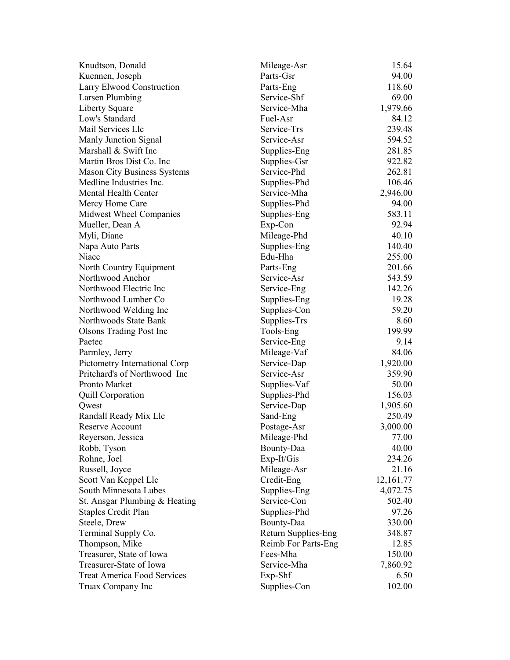| Knudtson, Donald                   | Mileage-Asr         | 15.64     |
|------------------------------------|---------------------|-----------|
| Kuennen, Joseph                    | Parts-Gsr           | 94.00     |
| Larry Elwood Construction          | Parts-Eng           | 118.60    |
| Larsen Plumbing                    | Service-Shf         | 69.00     |
| <b>Liberty Square</b>              | Service-Mha         | 1,979.66  |
| Low's Standard                     | Fuel-Asr            | 84.12     |
| Mail Services Llc                  | Service-Trs         | 239.48    |
| Manly Junction Signal              | Service-Asr         | 594.52    |
| Marshall & Swift Inc               | Supplies-Eng        | 281.85    |
| Martin Bros Dist Co. Inc.          | Supplies-Gsr        | 922.82    |
| <b>Mason City Business Systems</b> | Service-Phd         | 262.81    |
| Medline Industries Inc.            | Supplies-Phd        | 106.46    |
| Mental Health Center               | Service-Mha         | 2,946.00  |
| Mercy Home Care                    | Supplies-Phd        | 94.00     |
| Midwest Wheel Companies            | Supplies-Eng        | 583.11    |
| Mueller, Dean A                    | Exp-Con             | 92.94     |
| Myli, Diane                        | Mileage-Phd         | 40.10     |
| Napa Auto Parts                    | Supplies-Eng        | 140.40    |
| Niacc                              | Edu-Hha             | 255.00    |
| North Country Equipment            | Parts-Eng           | 201.66    |
| Northwood Anchor                   | Service-Asr         | 543.59    |
| Northwood Electric Inc             | Service-Eng         | 142.26    |
| Northwood Lumber Co                | Supplies-Eng        | 19.28     |
| Northwood Welding Inc              | Supplies-Con        | 59.20     |
| Northwoods State Bank              | Supplies-Trs        | 8.60      |
| <b>Olsons Trading Post Inc</b>     | Tools-Eng           | 199.99    |
| Paetec                             | Service-Eng         | 9.14      |
| Parmley, Jerry                     | Mileage-Vaf         | 84.06     |
| Pictometry International Corp      | Service-Dap         | 1,920.00  |
| Pritchard's of Northwood Inc       | Service-Asr         | 359.90    |
| Pronto Market                      | Supplies-Vaf        | 50.00     |
| <b>Quill Corporation</b>           | Supplies-Phd        | 156.03    |
| Qwest                              | Service-Dap         | 1,905.60  |
| Randall Ready Mix Llc              | Sand-Eng            | 250.49    |
| <b>Reserve Account</b>             | Postage-Asr         | 3,000.00  |
| Reyerson, Jessica                  | Mileage-Phd         | 77.00     |
| Robb, Tyson                        | Bounty-Daa          | 40.00     |
| Rohne, Joel                        | Exp-It/Gis          | 234.26    |
| Russell, Joyce                     | Mileage-Asr         | 21.16     |
| Scott Van Keppel Llc               | Credit-Eng          | 12,161.77 |
| South Minnesota Lubes              | Supplies-Eng        | 4,072.75  |
| St. Ansgar Plumbing & Heating      | Service-Con         | 502.40    |
| <b>Staples Credit Plan</b>         | Supplies-Phd        | 97.26     |
| Steele, Drew                       | Bounty-Daa          | 330.00    |
| Terminal Supply Co.                | Return Supplies-Eng | 348.87    |
| Thompson, Mike                     | Reimb For Parts-Eng | 12.85     |
| Treasurer, State of Iowa           | Fees-Mha            | 150.00    |
| Treasurer-State of Iowa            | Service-Mha         | 7,860.92  |
| <b>Treat America Food Services</b> | Exp-Shf             | 6.50      |
| Truax Company Inc                  | Supplies-Con        | 102.00    |
|                                    |                     |           |